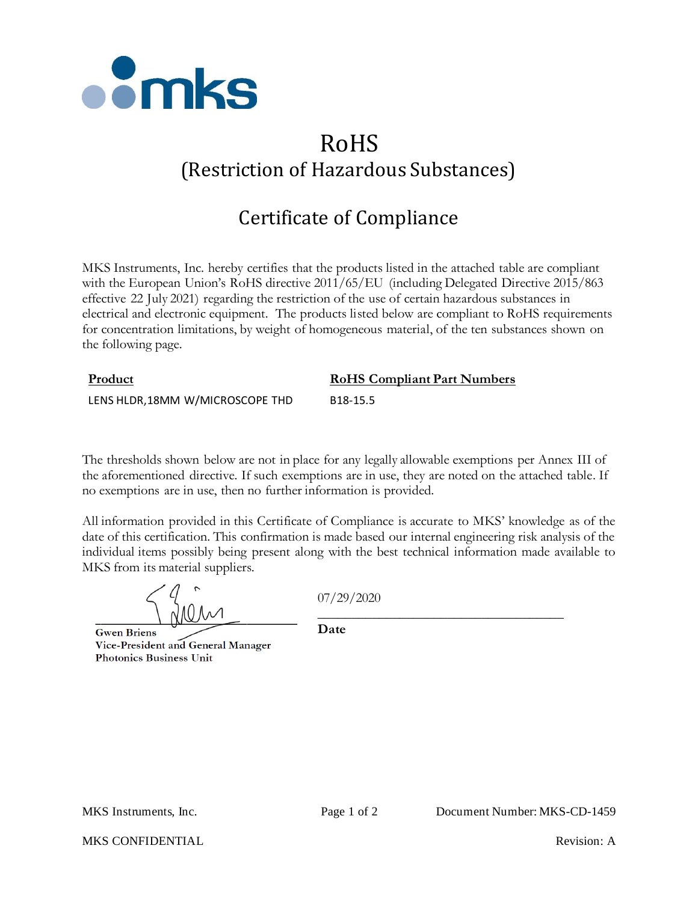

## RoHS (Restriction of Hazardous Substances)

## Certificate of Compliance

MKS Instruments, Inc. hereby certifies that the products listed in the attached table are compliant with the European Union's RoHS directive 2011/65/EU (including Delegated Directive 2015/863 effective 22 July 2021) regarding the restriction of the use of certain hazardous substances in electrical and electronic equipment. The products listed below are compliant to RoHS requirements for concentration limitations, by weight of homogeneous material, of the ten substances shown on the following page.

| Product                          | <b>RoHS Compliant Part Numbers</b> |
|----------------------------------|------------------------------------|
| LENS HLDR, 18MM W/MICROSCOPE THD | B <sub>18</sub> -15.5              |

The thresholds shown below are not in place for any legally allowable exemptions per Annex III of the aforementioned directive. If such exemptions are in use, they are noted on the attached table. If no exemptions are in use, then no further information is provided.

All information provided in this Certificate of Compliance is accurate to MKS' knowledge as of the date of this certification. This confirmation is made based our internal engineering risk analysis of the individual items possibly being present along with the best technical information made available to MKS from its material suppliers.

**Gwen Briens** Vice-President and General Manager **Photonics Business Unit** 

07/29/2020

\_\_\_\_\_\_\_\_\_\_\_\_\_\_\_\_\_\_\_\_\_\_\_\_\_\_\_\_\_\_\_\_\_\_\_\_

**Date**